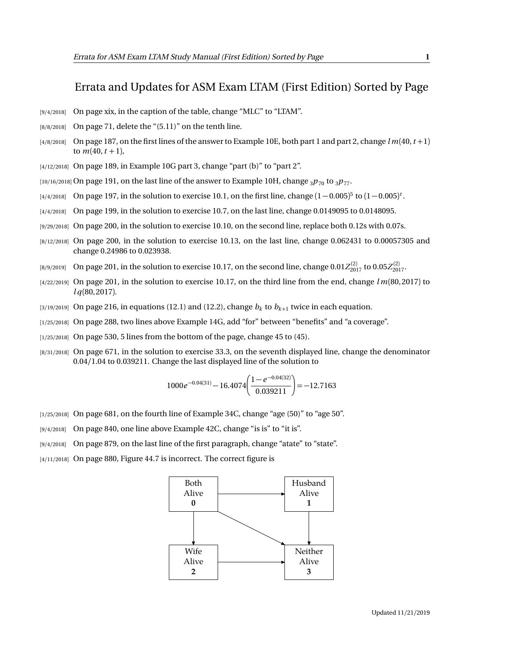## Errata and Updates for ASM Exam LTAM (First Edition) Sorted by Page

- [9/4/2018] On page xix, in the caption of the table, change "MLC" to "LTAM".
- $[8/8/2018]$  On page 71, delete the " $(5.11)$ " on the tenth line.
- $[4/8/2018]$  On page 187, on the first lines of the answer to Example 10E, both part 1 and part 2, change  $lm(40, t+1)$ to  $m(40, t + 1)$ ,
- [4/12/2018] On page 189, in Example 10G part 3, change "part (b)" to "part 2".
- $[10/16/2018]$  On page 191, on the last line of the answer to Example 10H, change  $3p_{70}$  to  $3p_{77}$ .
- $_{[4/4/2018]}$  On page 197, in the solution to exercise 10.1, on the first line, change  $(1-0.005)^5$  to  $(1-0.005)^t$ .
- [4/4/2018] On page 199, in the solution to exercise 10.7, on the last line, change 0.0149095 to 0.0148095.
- [9/29/2018] On page 200, in the solution to exercise 10.10, on the second line, replace both 0.12s with 0.07s.
- [8/12/2018] On page 200, in the solution to exercise 10.13, on the last line, change 0.062431 to 0.00057305 and change 0.24986 to 0.023938.
- [8/9/2019] On page 201, in the solution to exercise 10.17, on the second line, change  $0.01 Z_{2017}^{(2)}$  to  $0.05 Z_{2017}^{(2)}$ .
- [4/22/2019] On page 201, in the solution to exercise 10.17, on the third line from the end, change *l m*(80, 2017) to *l q*(80, 2017).
- $_{[3/19/2019]}$  On page 216, in equations (12.1) and (12.2), change  $b_k$  to  $b_{k+1}$  twice in each equation.
- [1/25/2018] On page 288, two lines above Example 14G, add "for" between "benefits" and "a coverage".
- [1/25/2018] On page 530, 5 lines from the bottom of the page, change 45 to (45).
- [8/31/2018] On page 671, in the solution to exercise 33.3, on the seventh displayed line, change the denominator 0.04*/*1.04 to 0.039211. Change the last displayed line of the solution to

$$
1000e^{-0.04(31)} - 16.4074 \left( \frac{1 - e^{-0.04(32)}}{0.039211} \right) = -12.7163
$$

- $(1/25/2018)$  On page 681, on the fourth line of Example 34C, change "age (50)" to "age 50".
- [9/4/2018] On page 840, one line above Example 42C, change "is is" to "it is".
- [9/4/2018] On page 879, on the last line of the first paragraph, change "atate" to "state".
- [4/11/2018] On page 880, Figure 44.7 is incorrect. The correct figure is

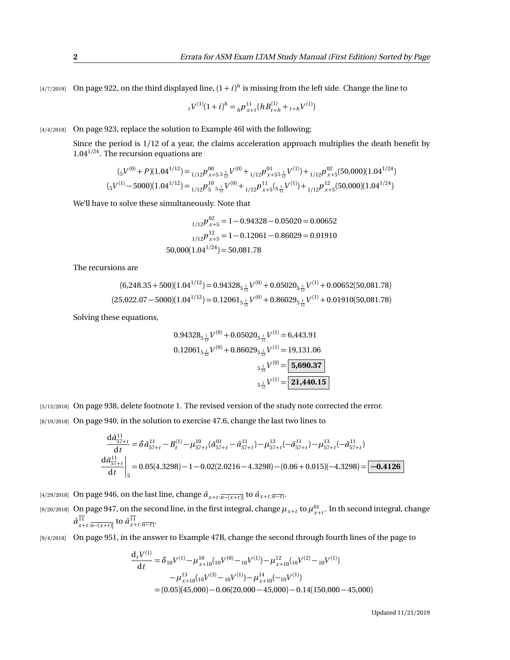$\frac{14}{7}{2019}$  On page 922, on the third displayed line,  $(1+i)^h$  is missing from the left side. Change the line to

$$
{}_{t}V^{(1)}(1+i)^{h} = {}_{h}P^{11}_{x+t}(hB^{(1)}_{t+h} + {}_{t+h}V^{(1)})
$$

[4/4/2018] On page 923, replace the solution to Example 46I with the following:

Since the period is 1/12 of a year, the claims acceleration approach multiplies the death benefit by 1.04<sup>1</sup>*/*<sup>24</sup>. The recursion equations are

$$
(_{5}V^{(0)} + P)(1.04^{1/12}) =_{1/12} p_{x+5}^{00} \frac{1}{5!} V^{(0)} +_{1/12} p_{x+55\frac{1}{12}}^{01} V^{(1)}) +_{1/12} p_{x+5}^{02} (50,000)(1.04^{1/24})
$$
  

$$
(_{5}V^{(1)} - 5000)(1.04^{1/12}) =_{1/12} p_{5}^{10} \frac{1}{5!} V^{(0)} +_{1/12} p_{x+5}^{11} (5\frac{1}{12} V^{(1)}) +_{1/12} p_{x+5}^{12} (50,000)(1.04^{1/24})
$$

We'll have to solve these simultaneously. Note that

$$
{}_{1/12}p_{x+5}^{02} = 1 - 0.94328 - 0.05020 = 0.00652
$$

$$
{}_{1/12}p_{x+5}^{12} = 1 - 0.12061 - 0.86029 = 0.01910
$$

$$
50,000(1.04^{1/24}) = 50,081.78
$$

The recursions are

$$
(6,248.35+500)(1.04^{1/12}) = 0.94328_{5\frac{1}{12}}V^{(0)} + 0.05020_{5\frac{1}{12}}V^{(1)} + 0.00652(50,081.78)
$$
  

$$
(25,022.07-5000)(1.04^{1/12}) = 0.12061_{5\frac{1}{12}}V^{(0)} + 0.86029_{5\frac{1}{12}}V^{(1)} + 0.01910(50,081.78)
$$

Solving these equations,

$$
0.94328_{5\frac{1}{12}}V^{(0)} + 0.05020_{5\frac{1}{12}}V^{(1)} = 6,443.91
$$
  

$$
0.12061_{5\frac{1}{12}}V^{(0)} + 0.86029_{5\frac{1}{12}}V^{(1)} = 19,131.06
$$
  

$$
5\frac{1}{12}V^{(0)} = \boxed{5,690.37}
$$
  

$$
5\frac{1}{12}V^{(1)} = \boxed{21,440.15}
$$

[5/13/2018] On page 938, delete footnote 1. The revised version of the study note corrected the error. [8/19/2018] On page 940, in the solution to exercise 47.6, change the last two lines to

$$
\frac{d\bar{a}_{57+t}^{11}}{dt} = \delta \bar{a}_{57+t}^{11} - B_t^{(1)} - \mu_{57+t}^{10} (\bar{a}_{57+t}^{01} - \bar{a}_{57+t}^{11}) - \mu_{57+t}^{12} (-\bar{a}_{57+t}^{11}) - \mu_{57+t}^{13} (-\bar{a}_{57+t}^{11})
$$
\n
$$
\frac{d\bar{a}_{57+t}^{11}}{dt} \bigg|_{5} = 0.05(4.3298) - 1 - 0.02(2.0216 - 4.3298) - (0.06 + 0.015)(-4.3298) = -0.4126
$$

- $[a/29/2018]$  On page 946, on the last line, change  $\bar{a}_{x+t:\overline{n-(x+t)}}$  to  $\bar{a}_{x+t:\overline{n-t}}$ .
- [9/20/2018] On page 947, on the second line, in the first integral, change  $\mu_{x+t}$  to  $\mu_{x+t}^{01}$ . In th second integral, change  $\bar{a}^{11}_{x+t:\overline{n-(x+t)}}$  to  $\bar{a}^{11}_{x+t:\overline{n-t}}$ .
- [9/4/2018] On page 951, in the answer to Example 47B, change the second through fourth lines of the page to

$$
\frac{d_t V^{(1)}}{dt} = \delta_{10} V^{(1)} - \mu_{x+10}^{10} ({}_{10}V^{(0)} - {}_{10}V^{(1)}) - \mu_{x+10}^{12} ({}_{10}V^{(2)} - {}_{10}V^{(1)})
$$

$$
- \mu_{x+10}^{13} ({}_{10}V^{(3)} - {}_{10}V^{(1)}) - \mu_{x+10}^{14} (-{}_{10}V^{(1)})
$$

$$
= (0.05)(45,000) - 0.06(20,000 - 45,000) - 0.14(150,000 - 45,000)
$$

Updated 11/21/2019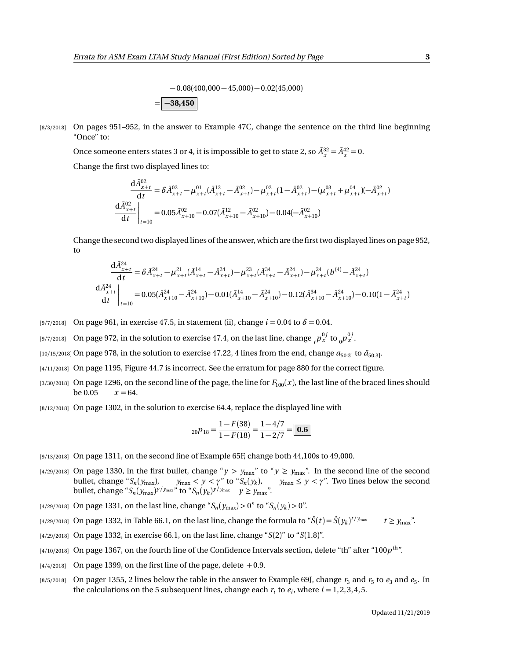$-0.08(400,000 - 45,000) - 0.02(45,000)$ = **−38,450**

[8/3/2018] On pages 951-952, in the answer to Example 47C, change the sentence on the third line beginning "Once" to:

Once someone enters states 3 or 4, it is impossible to get to state 2, so  $\bar{A}_x^{32} = \bar{A}_x^{42} = 0$ .

Change the first two displayed lines to:

$$
\frac{\mathrm{d}\bar{A}_{x+t}^{02}}{\mathrm{d}t} = \delta \bar{A}_{x+t}^{02} - \mu_{x+t}^{01} (\bar{A}_{x+t}^{12} - \bar{A}_{x+t}^{02}) - \mu_{x+t}^{02} (1 - \bar{A}_{x+t}^{02}) - (\mu_{x+t}^{03} + \mu_{x+t}^{04}) (-\bar{A}_{x+t}^{02})
$$
\n
$$
\frac{\mathrm{d}\bar{A}_{x+t}^{02}}{\mathrm{d}t}\bigg|_{t=10} = 0.05 \bar{A}_{x+10}^{02} - 0.07 (\bar{A}_{x+10}^{12} - \bar{A}_{x+10}^{02}) - 0.04 (-\bar{A}_{x+10}^{02})
$$

Change the second two displayed lines of the answer, which are the first two displayed lines on page 952, to

$$
\frac{\mathrm{d}\bar{A}_{x+t}^{24}}{\mathrm{d}t} = \delta \bar{A}_{x+t}^{24} - \mu_{x+t}^{21} (\bar{A}_{x+t}^{14} - \bar{A}_{x+t}^{24}) - \mu_{x+t}^{23} (\bar{A}_{x+t}^{34} - \bar{A}_{x+t}^{24}) - \mu_{x+t}^{24} (b^{(4)} - \bar{A}_{x+t}^{24})
$$
\n
$$
\frac{\mathrm{d}\bar{A}_{x+t}^{24}}{\mathrm{d}t}\bigg|_{t=10} = 0.05(\bar{A}_{x+10}^{24} - \bar{A}_{x+10}^{24}) - 0.01(\bar{A}_{x+10}^{14} - \bar{A}_{x+10}^{24}) - 0.12(\bar{A}_{x+10}^{34} - \bar{A}_{x+10}^{24}) - 0.10(1 - \bar{A}_{x+t}^{24})
$$

- [9/7/2018] On page 961, in exercise 47.5, in statement (ii), change  $i = 0.04$  to  $\delta = 0.04$ .
- [9/7/2018] On page 972, in the solution to exercise 47.4, on the last line, change  ${}_tp_x^{0j}$  to  ${}_0p_x^{0j}$ .
- [10/15/2018] On page 978, in the solution to exercise 47.22, 4 lines from the end, change  $a_{50:3}$  to  $a_{50:3}$ .
- [4/11/2018] On page 1195, Figure 44.7 is incorrect. See the erratum for page 880 for the correct figure.
- [3/30/2018] On page 1296, on the second line of the page, the line for  $F_{100}(x)$ , the last line of the braced lines should be  $0.05 \, x = 64$ .
- [8/12/2018] On page 1302, in the solution to exercise 64.4, replace the displayed line with

$$
{}_{20}p_{18} = \frac{1 - F(38)}{1 - F(18)} = \frac{1 - 4/7}{1 - 2/7} = \boxed{\textbf{0.6}}
$$

- [9/13/2018] On page 1311, on the second line of Example 65F, change both 44,100s to 49,000.
- [4/29/2018] On page 1330, in the first bullet, change " $y > y_{max}$ " to " $y \ge y_{max}$ ". In the second line of the second bullet, change " $S_n(y_{max})$ ,  $y_{max} < y < \gamma$ " to " $S_n(y_k)$ ,  $y_{max} \le y < \gamma$ ". Two lines below the second bullet, change " $S_n(y_{\text{max}})^{y/y_{\text{max}}}$ " to " $S_n(y_k)^{y/y_{\text{max}}}$ "  $y \ge y_{\text{max}}$ ".
- $\frac{14}{29}{2018}$  On page 1331, on the last line, change " $S_n(y_{\text{max}}) > 0$ " to " $S_n(y_k) > 0$ ".
- [4/29/2018] On page 1332, in Table 66.1, on the last line, change the formula to " $\hat{S}(t) = \hat{S}(y_k)^{t/y_{\max}}$   $t \ge y_{\max}$ ".
- [4/29/2018] On page 1332, in exercise 66.1, on the last line, change "*S*(2)" to "*S*(1.8)".
- [4/10/2018]  $\,$  On page 1367, on the fourth line of the Confidence Intervals section, delete "th" after "100 $p^{\rm th}$ ".
- $[4/4/2018]$  On page 1399, on the first line of the page, delete  $+0.9$ .
- $_{[8/5/2018]}$  On pager 1355, 2 lines below the table in the answer to Example 69J, change  $r_3$  and  $r_5$  to  $e_3$  and  $e_5$ . In the calculations on the 5 subsequent lines, change each  $r_i$  to  $e_i$ , where  $i = 1, 2, 3, 4, 5$ .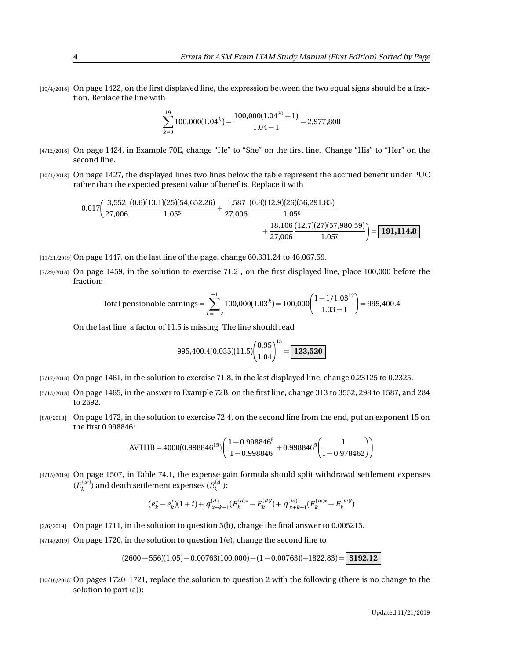[10/4/2018] On page 1422, on the first displayed line, the expression between the two equal signs should be a fraction. Replace the line with

$$
\sum_{k=0}^{19} 100,000(1.04^k) = \frac{100,000(1.04^{20} - 1)}{1.04 - 1} = 2,977,808
$$

- [4/12/2018] On page 1424, in Example 70E, change "He" to "She" on the first line. Change "His" to "Her" on the second line.
- [10/4/2018] On page 1427, the displayed lines two lines below the table represent the accrued benefit under PUC rather than the expected present value of benefits. Replace it with

$$
0.017 \left(\frac{3,552}{27,006} \frac{(0.6)(13.1)(25)(54,652.26)}{1.05^5} + \frac{1,587}{27,006} \frac{(0.8)(12.9)(26)(56,291.83)}{1.05^6} + \frac{18,106}{27,006} \frac{(12.7)(27)(57,980.59)}{1.05^7} \right) = \boxed{191,114.8}
$$

[11/21/2019] On page 1447, on the last line of the page, change 60,331.24 to 46,067.59.

[7/29/2018] On page 1459, in the solution to exercise 71.2 , on the first displayed line, place 100,000 before the fraction:

Total pensionable earnings = 
$$
\sum_{k=-12}^{-1} 100,000(1.03^{k}) = 100,000 \left( \frac{1 - 1/1.03^{12}}{1.03 - 1} \right) = 995,400.4
$$

On the last line, a factor of 11.5 is missing. The line should read

$$
995,400.4(0.035)(11.5)\left(\frac{0.95}{1.04}\right)^{13} = \boxed{123,520}
$$

- [7/17/2018] On page 1461, in the solution to exercise 71.8, in the last displayed line, change 0.23125 to 0.2325.
- [5/13/2018] On page 1465, in the answer to Example 72B, on the first line, change 313 to 3552, 298 to 1587, and 284 to 2692.
- [8/8/2018] On page 1472, in the solution to exercise 72.4, on the second line from the end, put an exponent 15 on the first 0.998846:

$$
AVTHB = 4000(0.998846^{15}) \left( \frac{1 - 0.998846^5}{1 - 0.998846} + 0.998846^5 \left( \frac{1}{1 - 0.978462} \right) \right)
$$

[4/15/2019] On page 1507, in Table 74.1, the expense gain formula should split withdrawal settlement expenses  $(E_k^{(w)})$  and death settlement expenses  $(E_k^{(d)})$ :

$$
(e_k^* - e_k')(1+i) + q_{x+k-1}^{(d)}(E_k^{(d)*} - E_k^{(d)}) + q_{x+k-1}^{(w)}(E_k^{(w)*} - E_k^{(w)})
$$

- [2/6/2019] On page 1711, in the solution to question 5(b), change the final answer to 0.005215.
- [4/14/2019] On page 1720, in the solution to question 1(e), change the second line to

 $(2600 - 556)(1.05) - 0.00763(100,000) - (1 - 0.00763)(-1822.83) =$  **3192.12** 

[10/16/2018] On pages 1720-1721, replace the solution to question 2 with the following (there is no change to the solution to part (a)):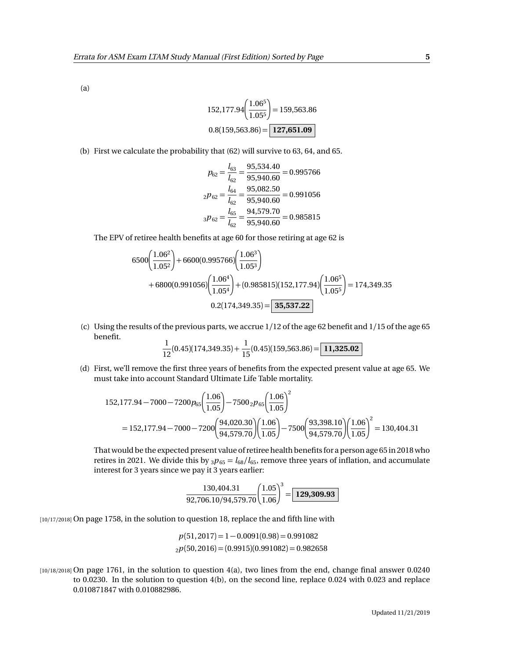(a)

$$
152,177.94 \left(\frac{1.06^5}{1.05^5}\right) = 159,563.86
$$

$$
0.8(159,563.86) = \boxed{127,651.09}
$$

(b) First we calculate the probability that (62) will survive to 63, 64, and 65.

$$
p_{62} = \frac{l_{63}}{l_{62}} = \frac{95,534.40}{95,940.60} = 0.995766
$$

$$
_2p_{62} = \frac{l_{64}}{l_{62}} = \frac{95,082.50}{95,940.60} = 0.991056
$$

$$
_3p_{62} = \frac{l_{65}}{l_{62}} = \frac{94,579.70}{95,940.60} = 0.985815
$$

The EPV of retiree health benefits at age 60 for those retiring at age 62 is

$$
6500\left(\frac{1.06^2}{1.05^2}\right) + 6600(0.995766)\left(\frac{1.06^3}{1.05^3}\right) + 6800(0.991056)\left(\frac{1.06^4}{1.05^4}\right) + (0.985815)(152,177.94)\left(\frac{1.06^5}{1.05^5}\right) = 174,349.35 0.2(174,349.35) = 35,537.22
$$

(c) Using the results of the previous parts, we accrue 1/12 of the age 62 benefit and 1/15 of the age 65 benefit.

$$
\frac{1}{12}(0.45)(174,349.35) + \frac{1}{15}(0.45)(159,563.86) = \boxed{11,325.02}
$$

(d) First, we'll remove the first three years of benefits from the expected present value at age 65. We must take into account Standard Ultimate Life Table mortality.

$$
152,177.94 - 7000 - 7200p_{65} \left(\frac{1.06}{1.05}\right) - 7500 \cdot 2p_{65} \left(\frac{1.06}{1.05}\right)^2
$$
  
= 152,177.94 - 7000 - 7200  $\left(\frac{94,020.30}{94,579.70}\right) \left(\frac{1.06}{1.05}\right) - 7500 \left(\frac{93,398.10}{94,579.70}\right) \left(\frac{1.06}{1.05}\right)^2 = 130,404.31$ 

That would be the expected present value of retiree health benefits for a person age 65 in 2018 who retires in 2021. We divide this by  $_3p_{65} = l_{68}/l_{65}$ , remove three years of inflation, and accumulate interest for 3 years since we pay it 3 years earlier:

$$
\frac{130,404.31}{92,706.10/94,579.70} \left(\frac{1.05}{1.06}\right)^3 = \boxed{129,309.93}
$$

[10/17/2018] On page 1758, in the solution to question 18, replace the and fifth line with

$$
p(51, 2017) = 1 - 0.0091(0.98) = 0.991082
$$
  

$$
2p(50, 2016) = (0.9915)(0.991082) = 0.982658
$$

[10/18/2018] On page 1761, in the solution to question 4(a), two lines from the end, change final answer 0.0240 to 0.0230. In the solution to question 4(b), on the second line, replace 0.024 with 0.023 and replace 0.010871847 with 0.010882986.